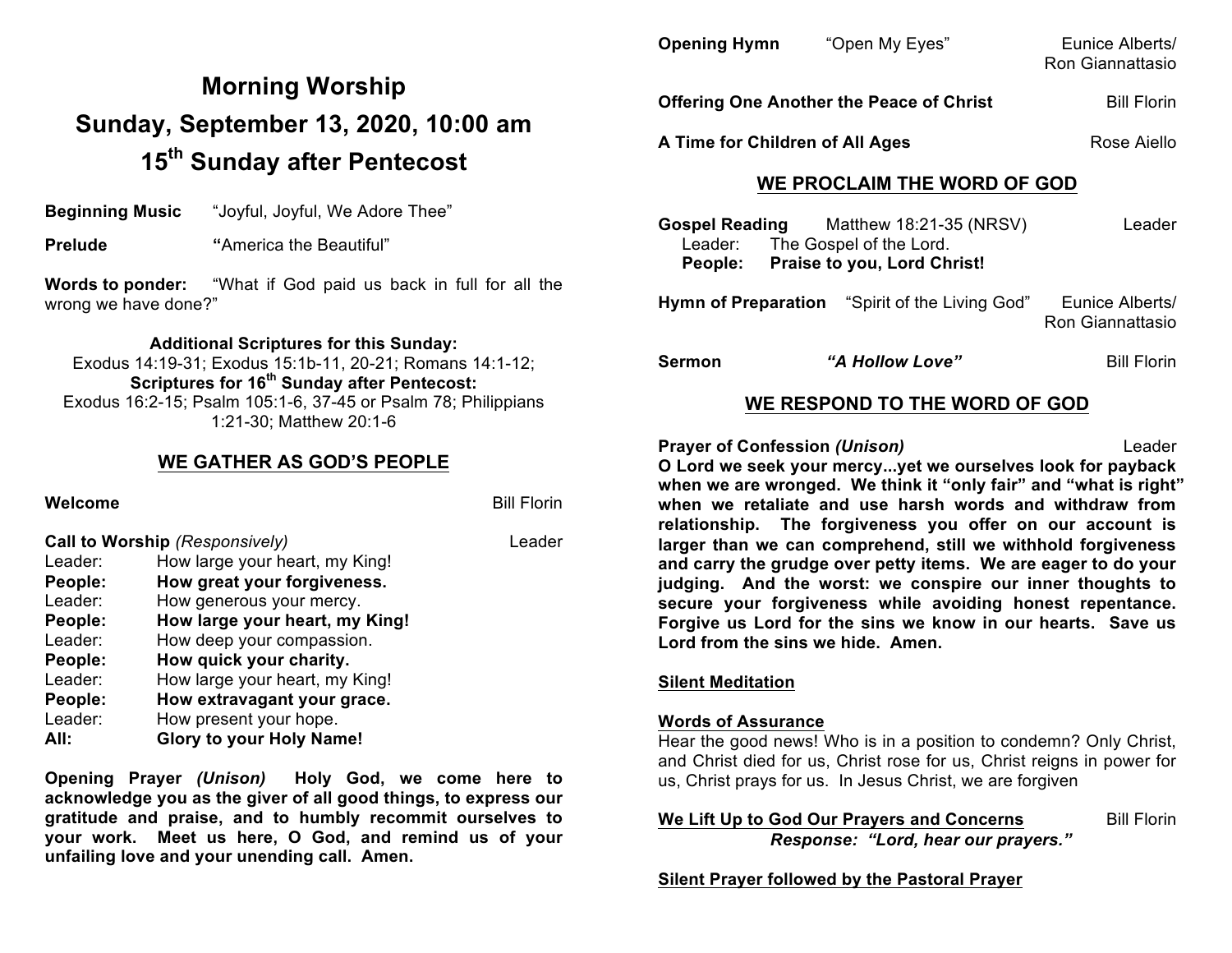# **Morning Worship Sunday, September 13, 2020, 10:00 am 15th Sunday after Pentecost**

**Beginning Music** "Joyful, Joyful, We Adore Thee"

**Prelude "America the Beautiful"** 

**Words to ponder:** "What if God paid us back in full for all the wrong we have done?"

**Additional Scriptures for this Sunday:**

Exodus 14:19-31; Exodus 15:1b-11, 20-21; Romans 14:1-12; **Scriptures for 16th Sunday after Pentecost:**  Exodus 16:2-15; Psalm 105:1-6, 37-45 or Psalm 78; Philippians 1:21-30; Matthew 20:1-6

### **WE GATHER AS GOD'S PEOPLE**

**Welcome** Bill Florin **Bill Florin Call to Worship** *(Responsively)* Leader Leader: How large your heart, my King! **People: How great your forgiveness.** Leader: How generous your mercy. **People: How large your heart, my King!** Leader: How deep your compassion. **People: How quick your charity.** Leader: How large your heart, my King! **People: How extravagant your grace.** Leader: How present your hope. **All: Glory to your Holy Name!**

**Opening Prayer** *(Unison)* **Holy God, we come here to acknowledge you as the giver of all good things, to express our gratitude and praise, and to humbly recommit ourselves to your work. Meet us here, O God, and remind us of your unfailing love and your unending call. Amen.**

| <b>Opening Hymn</b>                             | "Open My Eyes"     | Eunice Alberts/<br>Ron Giannattasio |
|-------------------------------------------------|--------------------|-------------------------------------|
| <b>Offering One Another the Peace of Christ</b> | <b>Bill Florin</b> |                                     |
| A Time for Children of All Ages                 |                    | Rose Aiello                         |

## **WE PROCLAIM THE WORD OF GOD**

**Gospel Reading** Matthew 18:21-35 (NRSV) Leader Leader: The Gospel of the Lord.  **People: Praise to you, Lord Christ!**

**Hymn of Preparation** "Spirit of the Living God" Eunice Alberts/ Ron Giannattasio

**Sermon** *"A Hollow Love"* Bill Florin

## **WE RESPOND TO THE WORD OF GOD**

**Prayer of Confession** *(Unison)* Leader

**O Lord we seek your mercy...yet we ourselves look for payback when we are wronged. We think it "only fair" and "what is right" when we retaliate and use harsh words and withdraw from relationship. The forgiveness you offer on our account is larger than we can comprehend, still we withhold forgiveness and carry the grudge over petty items. We are eager to do your judging. And the worst: we conspire our inner thoughts to secure your forgiveness while avoiding honest repentance. Forgive us Lord for the sins we know in our hearts. Save us Lord from the sins we hide. Amen.**

#### **Silent Meditation**

#### **Words of Assurance**

Hear the good news! Who is in a position to condemn? Only Christ, and Christ died for us, Christ rose for us, Christ reigns in power for us, Christ prays for us. In Jesus Christ, we are forgiven

**We Lift Up to God Our Prayers and Concerns** Bill Florin *Response: "Lord, hear our prayers."*

**Silent Prayer followed by the Pastoral Prayer**